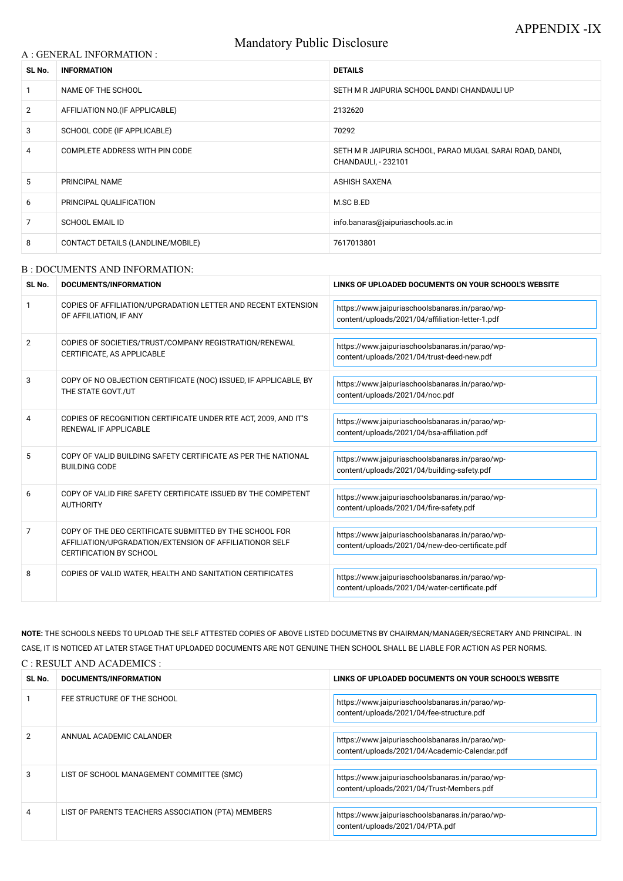# Mandatory Public Disclosure

### A : GENERAL INFORMATION :

| SL No.         | <b>INFORMATION</b>                | <b>DETAILS</b>                                                                  |
|----------------|-----------------------------------|---------------------------------------------------------------------------------|
|                | NAME OF THE SCHOOL                | SETH M R JAIPURIA SCHOOL DANDI CHANDAULI UP                                     |
| $\overline{2}$ | AFFILIATION NO. (IF APPLICABLE)   | 2132620                                                                         |
| 3              | SCHOOL CODE (IF APPLICABLE)       | 70292                                                                           |
| 4              | COMPLETE ADDRESS WITH PIN CODE    | SETH M R JAIPURIA SCHOOL, PARAO MUGAL SARAI ROAD, DANDI,<br>CHANDAULI, - 232101 |
| 5              | <b>PRINCIPAL NAME</b>             | ASHISH SAXENA                                                                   |
| 6              | PRINCIPAL QUALIFICATION           | M.SC B.ED                                                                       |
| 7              | <b>SCHOOL EMAIL ID</b>            | info.banaras@jaipuriaschools.ac.in                                              |
| 8              | CONTACT DETAILS (LANDLINE/MOBILE) | 7617013801                                                                      |

### B : DOCUMENTS AND INFORMATION:

| SL No.         | DOCUMENTS/INFORMATION                                                                                                                                | LINKS OF UPLOADED DOCUMENTS ON YOUR SCHOOL'S WEBSITE                                                |
|----------------|------------------------------------------------------------------------------------------------------------------------------------------------------|-----------------------------------------------------------------------------------------------------|
|                | COPIES OF AFFILIATION/UPGRADATION LETTER AND RECENT EXTENSION<br>OF AFFILIATION, IF ANY                                                              | https://www.jaipuriaschoolsbanaras.in/parao/wp-<br>content/uploads/2021/04/affiliation-letter-1.pdf |
| $\overline{2}$ | COPIES OF SOCIETIES/TRUST/COMPANY REGISTRATION/RENEWAL<br>CERTIFICATE, AS APPLICABLE                                                                 | https://www.jaipuriaschoolsbanaras.in/parao/wp-<br>content/uploads/2021/04/trust-deed-new.pdf       |
| 3              | COPY OF NO OBJECTION CERTIFICATE (NOC) ISSUED, IF APPLICABLE, BY<br>THE STATE GOVT./UT                                                               | https://www.jaipuriaschoolsbanaras.in/parao/wp-<br>content/uploads/2021/04/noc.pdf                  |
| 4              | COPIES OF RECOGNITION CERTIFICATE UNDER RTE ACT, 2009, AND IT'S<br><b>RENEWAL IF APPLICABLE</b>                                                      | https://www.jaipuriaschoolsbanaras.in/parao/wp-<br>content/uploads/2021/04/bsa-affiliation.pdf      |
| 5              | COPY OF VALID BUILDING SAFETY CERTIFICATE AS PER THE NATIONAL<br><b>BUILDING CODE</b>                                                                | https://www.jaipuriaschoolsbanaras.in/parao/wp-<br>content/uploads/2021/04/building-safety.pdf      |
| 6              | COPY OF VALID FIRE SAFETY CERTIFICATE ISSUED BY THE COMPETENT<br><b>AUTHORITY</b>                                                                    | https://www.jaipuriaschoolsbanaras.in/parao/wp-<br>content/uploads/2021/04/fire-safety.pdf          |
| 7              | COPY OF THE DEO CERTIFICATE SUBMITTED BY THE SCHOOL FOR<br>AFFILIATION/UPGRADATION/EXTENSION OF AFFILIATIONOR SELF<br><b>CERTIFICATION BY SCHOOL</b> | https://www.jaipuriaschoolsbanaras.in/parao/wp-<br>content/uploads/2021/04/new-deo-certificate.pdf  |
| 8              | COPIES OF VALID WATER, HEALTH AND SANITATION CERTIFICATES                                                                                            | https://www.jaipuriaschoolsbanaras.in/parao/wp-<br>content/uploads/2021/04/water-certificate.pdf    |

**NOTE:** THE SCHOOLS NEEDS TO UPLOAD THE SELF ATTESTED COPIES OF ABOVE LISTED DOCUMETNS BY CHAIRMAN/MANAGER/SECRETARY AND PRINCIPAL. IN CASE, IT IS NOTICED AT LATER STAGE THAT UPLOADED DOCUMENTS ARE NOT GENUINE THEN SCHOOL SHALL BE LIABLE FOR ACTION AS PER NORMS. C : RESULT AND ACADEMICS :

| SL No. | DOCUMENTS/INFORMATION                              | LINKS OF UPLOADED DOCUMENTS ON YOUR SCHOOL'S WEBSITE                                             |
|--------|----------------------------------------------------|--------------------------------------------------------------------------------------------------|
|        | FEE STRUCTURE OF THE SCHOOL                        | https://www.jaipuriaschoolsbanaras.in/parao/wp-<br>content/uploads/2021/04/fee-structure.pdf     |
|        | ANNUAL ACADEMIC CALANDER                           | https://www.jaipuriaschoolsbanaras.in/parao/wp-<br>content/uploads/2021/04/Academic-Calendar.pdf |
| 3      | LIST OF SCHOOL MANAGEMENT COMMITTEE (SMC)          | https://www.jaipuriaschoolsbanaras.in/parao/wp-<br>content/uploads/2021/04/Trust-Members.pdf     |
| 4      | LIST OF PARENTS TEACHERS ASSOCIATION (PTA) MEMBERS | https://www.jaipuriaschoolsbanaras.in/parao/wp-<br>content/uploads/2021/04/PTA.pdf               |